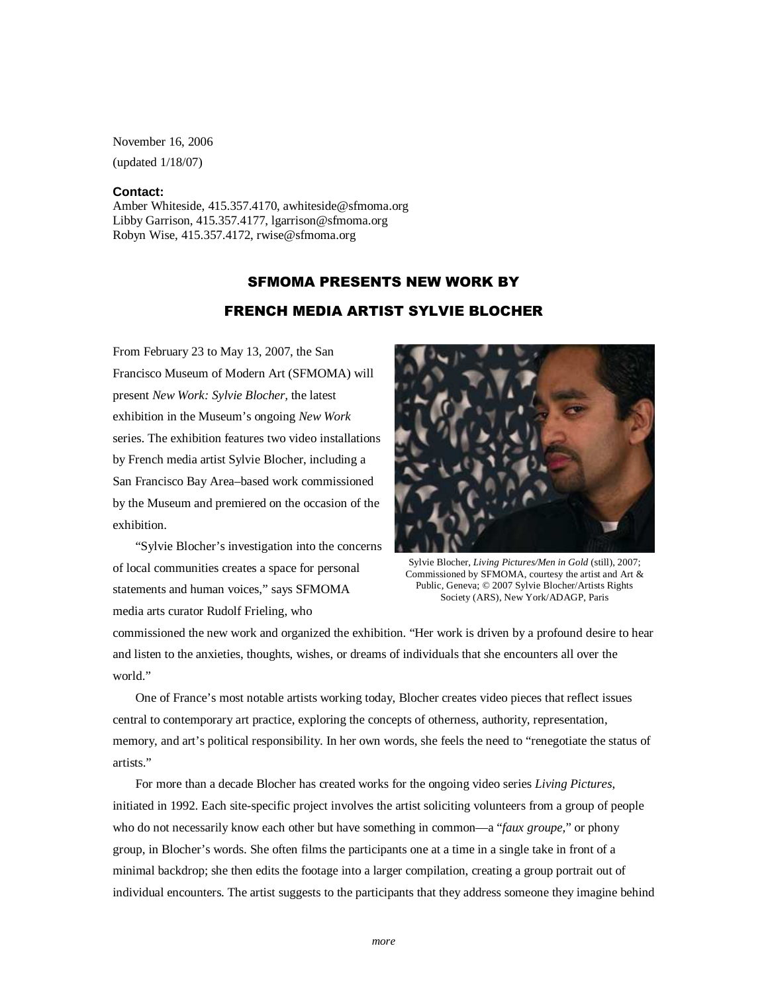November 16, 2006 (updated 1/18/07)

## **Contact:**

Amber Whiteside, 415.357.4170, awhiteside@sfmoma.org Libby Garrison, 415.357.4177, lgarrison@sfmoma.org Robyn Wise, 415.357.4172, rwise@sfmoma.org

## SFMOMA PRESENTS NEW WORK BY FRENCH MEDIA ARTIST SYLVIE BLOCHER

From February 23 to May 13, 2007, the San Francisco Museum of Modern Art (SFMOMA) will present *New Work: Sylvie Blocher,* the latest exhibition in the Museum's ongoing *New Work*  series. The exhibition features two video installations by French media artist Sylvie Blocher, including a San Francisco Bay Area–based work commissioned by the Museum and premiered on the occasion of the exhibition.

"Sylvie Blocher's investigation into the concerns of local communities creates a space for personal statements and human voices," says SFMOMA media arts curator Rudolf Frieling, who



Sylvie Blocher, *Living Pictures/Men in Gold* (still), 2007; Commissioned by SFMOMA, courtesy the artist and Art & Public, Geneva; © 2007 Sylvie Blocher/Artists Rights Society (ARS), New York/ADAGP, Paris

commissioned the new work and organized the exhibition. "Her work is driven by a profound desire to hear and listen to the anxieties, thoughts, wishes, or dreams of individuals that she encounters all over the world."

One of France's most notable artists working today, Blocher creates video pieces that reflect issues central to contemporary art practice, exploring the concepts of otherness, authority, representation, memory, and art's political responsibility. In her own words, she feels the need to "renegotiate the status of artists<sup>"</sup>

For more than a decade Blocher has created works for the ongoing video series *Living Pictures*, initiated in 1992. Each site-specific project involves the artist soliciting volunteers from a group of people who do not necessarily know each other but have something in common—a "*faux groupe,*" or phony group, in Blocher's words. She often films the participants one at a time in a single take in front of a minimal backdrop; she then edits the footage into a larger compilation, creating a group portrait out of individual encounters. The artist suggests to the participants that they address someone they imagine behind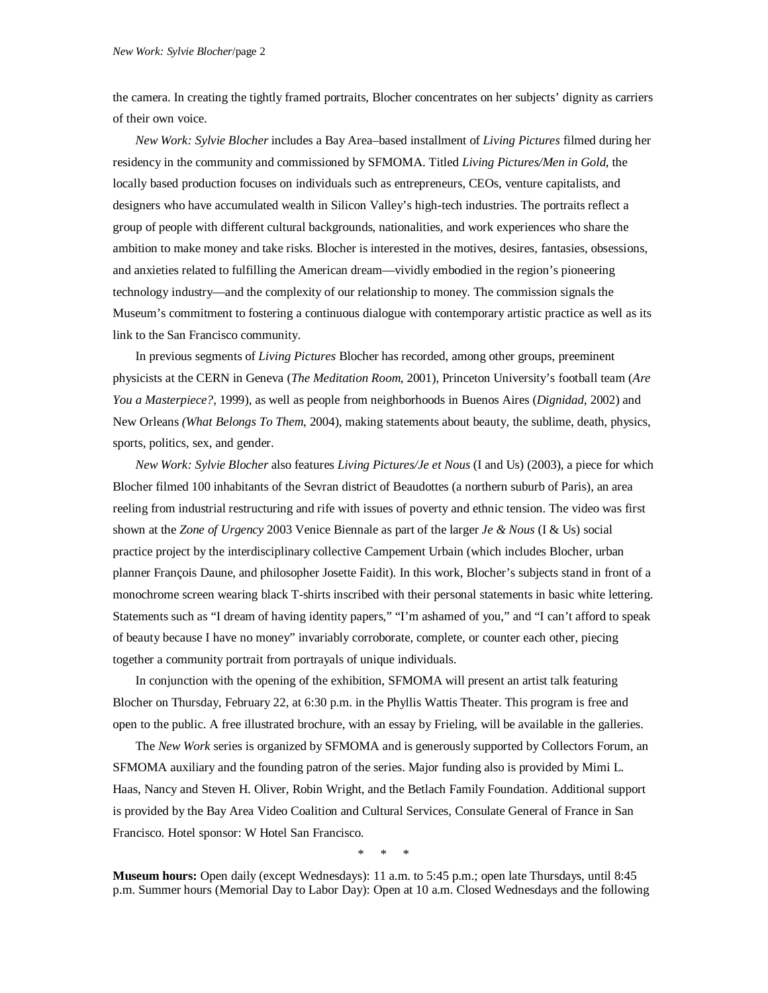the camera. In creating the tightly framed portraits, Blocher concentrates on her subjects' dignity as carriers of their own voice.

*New Work: Sylvie Blocher* includes a Bay Area–based installment of *Living Pictures* filmed during her residency in the community and commissioned by SFMOMA. Titled *Living Pictures/Men in Gold*, the locally based production focuses on individuals such as entrepreneurs, CEOs, venture capitalists, and designers who have accumulated wealth in Silicon Valley's high-tech industries. The portraits reflect a group of people with different cultural backgrounds, nationalities, and work experiences who share the ambition to make money and take risks. Blocher is interested in the motives, desires, fantasies, obsessions, and anxieties related to fulfilling the American dream—vividly embodied in the region's pioneering technology industry—and the complexity of our relationship to money. The commission signals the Museum's commitment to fostering a continuous dialogue with contemporary artistic practice as well as its link to the San Francisco community.

In previous segments of *Living Pictures* Blocher has recorded, among other groups, preeminent physicists at the CERN in Geneva (*The Meditation Room*, 2001), Princeton University's football team (*Are You a Masterpiece?,* 1999), as well as people from neighborhoods in Buenos Aires (*Dignidad*, 2002) and New Orleans *(What Belongs To Them*, 2004), making statements about beauty, the sublime, death, physics, sports, politics, sex, and gender.

*New Work: Sylvie Blocher* also features *Living Pictures/Je et Nous* (I and Us) (2003), a piece for which Blocher filmed 100 inhabitants of the Sevran district of Beaudottes (a northern suburb of Paris), an area reeling from industrial restructuring and rife with issues of poverty and ethnic tension. The video was first shown at the *Zone of Urgency* 2003 Venice Biennale as part of the larger *Je & Nous* (I & Us) social practice project by the interdisciplinary collective Campement Urbain (which includes Blocher, urban planner François Daune, and philosopher Josette Faidit)*.* In this work, Blocher's subjects stand in front of a monochrome screen wearing black T-shirts inscribed with their personal statements in basic white lettering. Statements such as "I dream of having identity papers," "I'm ashamed of you," and "I can't afford to speak of beauty because I have no money" invariably corroborate, complete, or counter each other, piecing together a community portrait from portrayals of unique individuals.

In conjunction with the opening of the exhibition, SFMOMA will present an artist talk featuring Blocher on Thursday, February 22, at 6:30 p.m. in the Phyllis Wattis Theater. This program is free and open to the public. A free illustrated brochure, with an essay by Frieling, will be available in the galleries.

The *New Work* series is organized by SFMOMA and is generously supported by Collectors Forum, an SFMOMA auxiliary and the founding patron of the series. Major funding also is provided by Mimi L. Haas, Nancy and Steven H. Oliver, Robin Wright, and the Betlach Family Foundation. Additional support is provided by the Bay Area Video Coalition and Cultural Services, Consulate General of France in San Francisco. Hotel sponsor: W Hotel San Francisco.

\* \* \*

**Museum hours:** Open daily (except Wednesdays): 11 a.m. to 5:45 p.m.; open late Thursdays, until 8:45 p.m. Summer hours (Memorial Day to Labor Day): Open at 10 a.m. Closed Wednesdays and the following